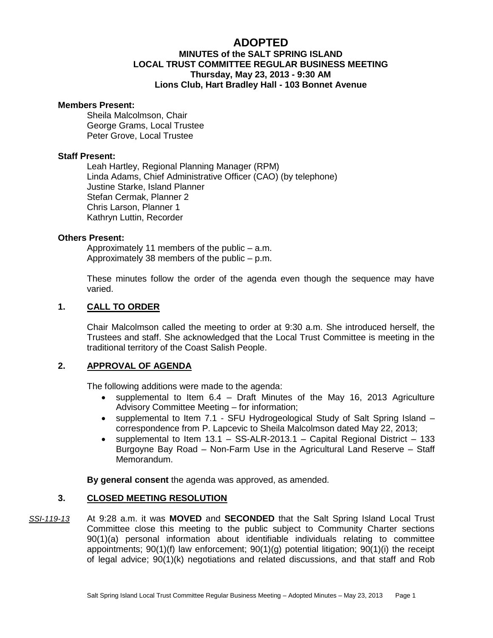# **ADOPTED MINUTES of the SALT SPRING ISLAND LOCAL TRUST COMMITTEE REGULAR BUSINESS MEETING Thursday, May 23, 2013 - 9:30 AM Lions Club, Hart Bradley Hall - 103 Bonnet Avenue**

#### **Members Present:**

Sheila Malcolmson, Chair George Grams, Local Trustee Peter Grove, Local Trustee

## **Staff Present:**

Leah Hartley, Regional Planning Manager (RPM) Linda Adams, Chief Administrative Officer (CAO) (by telephone) Justine Starke, Island Planner Stefan Cermak, Planner 2 Chris Larson, Planner 1 Kathryn Luttin, Recorder

## **Others Present:**

Approximately 11 members of the public – a.m. Approximately 38 members of the public – p.m.

These minutes follow the order of the agenda even though the sequence may have varied.

## **1. CALL TO ORDER**

Chair Malcolmson called the meeting to order at 9:30 a.m. She introduced herself, the Trustees and staff. She acknowledged that the Local Trust Committee is meeting in the traditional territory of the Coast Salish People.

## **2. APPROVAL OF AGENDA**

The following additions were made to the agenda:

- supplemental to Item 6.4 Draft Minutes of the May 16, 2013 Agriculture Advisory Committee Meeting – for information;
- supplemental to Item 7.1 SFU Hydrogeological Study of Salt Spring Island correspondence from P. Lapcevic to Sheila Malcolmson dated May 22, 2013;
- supplemental to Item  $13.1 SS-ALR-2013.1 Capital Regional District 133$ Burgoyne Bay Road – Non-Farm Use in the Agricultural Land Reserve – Staff Memorandum.

**By general consent** the agenda was approved, as amended.

## **3. CLOSED MEETING RESOLUTION**

*SSI-119-13* At 9:28 a.m. it was **MOVED** and **SECONDED** that the Salt Spring Island Local Trust Committee close this meeting to the public subject to Community Charter sections 90(1)(a) personal information about identifiable individuals relating to committee appointments; 90(1)(f) law enforcement; 90(1)(g) potential litigation; 90(1)(i) the receipt of legal advice; 90(1)(k) negotiations and related discussions, and that staff and Rob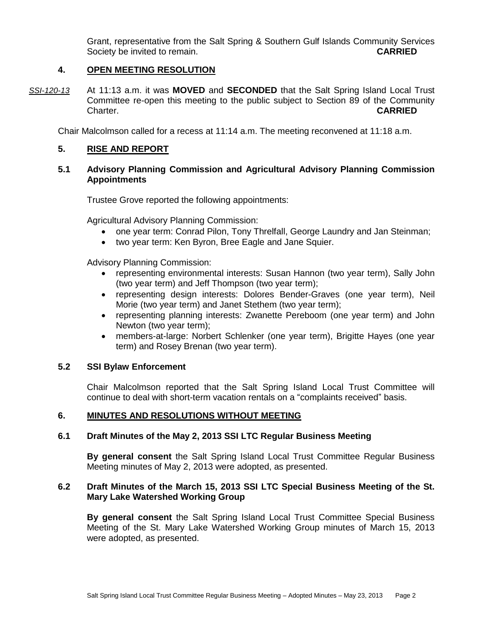Grant, representative from the Salt Spring & Southern Gulf Islands Community Services Society be invited to remain. **CARRIED**

# **4. OPEN MEETING RESOLUTION**

*SSI-120-13* At 11:13 a.m. it was **MOVED** and **SECONDED** that the Salt Spring Island Local Trust Committee re-open this meeting to the public subject to Section 89 of the Community Charter. **CARRIED**

Chair Malcolmson called for a recess at 11:14 a.m. The meeting reconvened at 11:18 a.m.

# **5. RISE AND REPORT**

# **5.1 Advisory Planning Commission and Agricultural Advisory Planning Commission Appointments**

Trustee Grove reported the following appointments:

Agricultural Advisory Planning Commission:

- one year term: Conrad Pilon, Tony Threlfall, George Laundry and Jan Steinman;
- two year term: Ken Byron, Bree Eagle and Jane Squier.

Advisory Planning Commission:

- representing environmental interests: Susan Hannon (two year term), Sally John (two year term) and Jeff Thompson (two year term);
- representing design interests: Dolores Bender-Graves (one year term), Neil Morie (two year term) and Janet Stethem (two year term);
- representing planning interests: Zwanette Pereboom (one year term) and John Newton (two year term);
- members-at-large: Norbert Schlenker (one year term), Brigitte Hayes (one year term) and Rosey Brenan (two year term).

## **5.2 SSI Bylaw Enforcement**

Chair Malcolmson reported that the Salt Spring Island Local Trust Committee will continue to deal with short-term vacation rentals on a "complaints received" basis.

# **6. MINUTES AND RESOLUTIONS WITHOUT MEETING**

## **6.1 Draft Minutes of the May 2, 2013 SSI LTC Regular Business Meeting**

**By general consent** the Salt Spring Island Local Trust Committee Regular Business Meeting minutes of May 2, 2013 were adopted, as presented.

# **6.2 Draft Minutes of the March 15, 2013 SSI LTC Special Business Meeting of the St. Mary Lake Watershed Working Group**

**By general consent** the Salt Spring Island Local Trust Committee Special Business Meeting of the St. Mary Lake Watershed Working Group minutes of March 15, 2013 were adopted, as presented.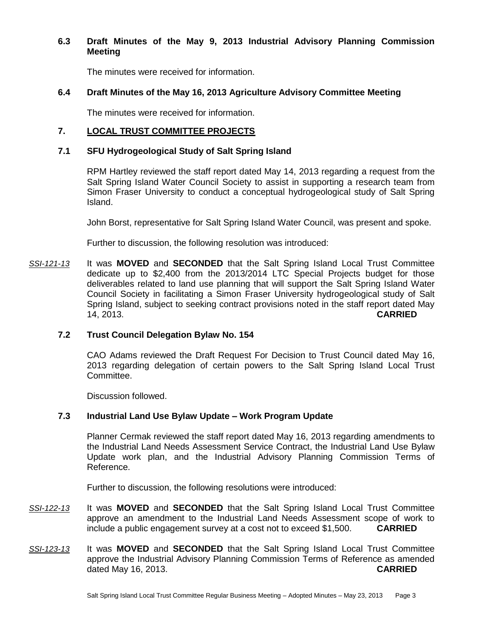# **6.3 Draft Minutes of the May 9, 2013 Industrial Advisory Planning Commission Meeting**

The minutes were received for information.

# **6.4 Draft Minutes of the May 16, 2013 Agriculture Advisory Committee Meeting**

The minutes were received for information.

# **7. LOCAL TRUST COMMITTEE PROJECTS**

# **7.1 SFU Hydrogeological Study of Salt Spring Island**

RPM Hartley reviewed the staff report dated May 14, 2013 regarding a request from the Salt Spring Island Water Council Society to assist in supporting a research team from Simon Fraser University to conduct a conceptual hydrogeological study of Salt Spring Island.

John Borst, representative for Salt Spring Island Water Council, was present and spoke.

Further to discussion, the following resolution was introduced:

*SSI-121-13* It was **MOVED** and **SECONDED** that the Salt Spring Island Local Trust Committee dedicate up to \$2,400 from the 2013/2014 LTC Special Projects budget for those deliverables related to land use planning that will support the Salt Spring Island Water Council Society in facilitating a Simon Fraser University hydrogeological study of Salt Spring Island, subject to seeking contract provisions noted in the staff report dated May 14, 2013. **CARRIED**

# **7.2 Trust Council Delegation Bylaw No. 154**

CAO Adams reviewed the Draft Request For Decision to Trust Council dated May 16, 2013 regarding delegation of certain powers to the Salt Spring Island Local Trust Committee.

Discussion followed.

# **7.3 Industrial Land Use Bylaw Update – Work Program Update**

Planner Cermak reviewed the staff report dated May 16, 2013 regarding amendments to the Industrial Land Needs Assessment Service Contract, the Industrial Land Use Bylaw Update work plan, and the Industrial Advisory Planning Commission Terms of Reference.

Further to discussion, the following resolutions were introduced:

- *SSI-122-13* It was **MOVED** and **SECONDED** that the Salt Spring Island Local Trust Committee approve an amendment to the Industrial Land Needs Assessment scope of work to include a public engagement survey at a cost not to exceed \$1,500. **CARRIED**
- *SSI-123-13* It was **MOVED** and **SECONDED** that the Salt Spring Island Local Trust Committee approve the Industrial Advisory Planning Commission Terms of Reference as amended dated May 16, 2013. **CARRIED**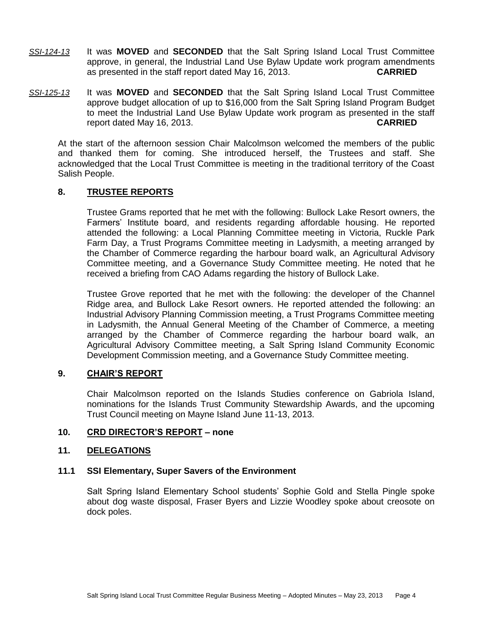- *SSI-124-13* It was **MOVED** and **SECONDED** that the Salt Spring Island Local Trust Committee approve, in general, the Industrial Land Use Bylaw Update work program amendments as presented in the staff report dated May 16, 2013. **CARRIED**
- *SSI-125-13* It was **MOVED** and **SECONDED** that the Salt Spring Island Local Trust Committee approve budget allocation of up to \$16,000 from the Salt Spring Island Program Budget to meet the Industrial Land Use Bylaw Update work program as presented in the staff report dated May 16, 2013. **CARRIED**

At the start of the afternoon session Chair Malcolmson welcomed the members of the public and thanked them for coming. She introduced herself, the Trustees and staff. She acknowledged that the Local Trust Committee is meeting in the traditional territory of the Coast Salish People.

# **8. TRUSTEE REPORTS**

Trustee Grams reported that he met with the following: Bullock Lake Resort owners, the Farmers' Institute board, and residents regarding affordable housing. He reported attended the following: a Local Planning Committee meeting in Victoria, Ruckle Park Farm Day, a Trust Programs Committee meeting in Ladysmith, a meeting arranged by the Chamber of Commerce regarding the harbour board walk, an Agricultural Advisory Committee meeting, and a Governance Study Committee meeting. He noted that he received a briefing from CAO Adams regarding the history of Bullock Lake.

Trustee Grove reported that he met with the following: the developer of the Channel Ridge area, and Bullock Lake Resort owners. He reported attended the following: an Industrial Advisory Planning Commission meeting, a Trust Programs Committee meeting in Ladysmith, the Annual General Meeting of the Chamber of Commerce, a meeting arranged by the Chamber of Commerce regarding the harbour board walk, an Agricultural Advisory Committee meeting, a Salt Spring Island Community Economic Development Commission meeting, and a Governance Study Committee meeting.

## **9. CHAIR'S REPORT**

Chair Malcolmson reported on the Islands Studies conference on Gabriola Island, nominations for the Islands Trust Community Stewardship Awards, and the upcoming Trust Council meeting on Mayne Island June 11-13, 2013.

# **10. CRD DIRECTOR'S REPORT – none**

## **11. DELEGATIONS**

## **11.1 SSI Elementary, Super Savers of the Environment**

Salt Spring Island Elementary School students' Sophie Gold and Stella Pingle spoke about dog waste disposal, Fraser Byers and Lizzie Woodley spoke about creosote on dock poles.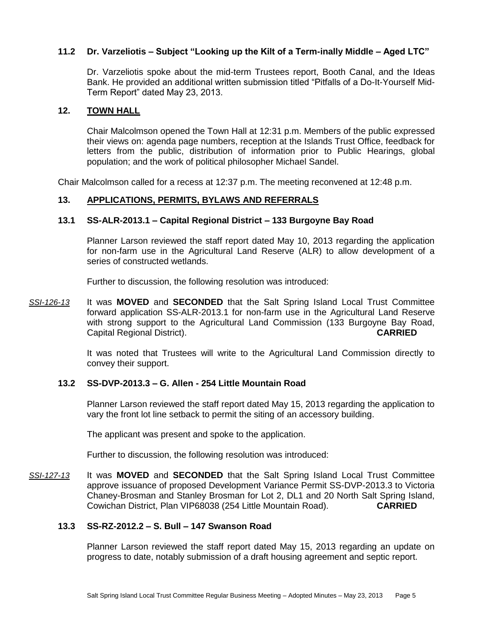# **11.2 Dr. Varzeliotis – Subject "Looking up the Kilt of a Term-inally Middle – Aged LTC"**

Dr. Varzeliotis spoke about the mid-term Trustees report, Booth Canal, and the Ideas Bank. He provided an additional written submission titled "Pitfalls of a Do-It-Yourself Mid-Term Report" dated May 23, 2013.

## **12. TOWN HALL**

Chair Malcolmson opened the Town Hall at 12:31 p.m. Members of the public expressed their views on: agenda page numbers, reception at the Islands Trust Office, feedback for letters from the public, distribution of information prior to Public Hearings, global population; and the work of political philosopher Michael Sandel.

Chair Malcolmson called for a recess at 12:37 p.m. The meeting reconvened at 12:48 p.m.

# **13. APPLICATIONS, PERMITS, BYLAWS AND REFERRALS**

# **13.1 SS-ALR-2013.1 – Capital Regional District – 133 Burgoyne Bay Road**

Planner Larson reviewed the staff report dated May 10, 2013 regarding the application for non-farm use in the Agricultural Land Reserve (ALR) to allow development of a series of constructed wetlands.

Further to discussion, the following resolution was introduced:

*SSI-126-13* It was **MOVED** and **SECONDED** that the Salt Spring Island Local Trust Committee forward application SS-ALR-2013.1 for non-farm use in the Agricultural Land Reserve with strong support to the Agricultural Land Commission (133 Burgoyne Bay Road, Capital Regional District). **CARRIED**

> It was noted that Trustees will write to the Agricultural Land Commission directly to convey their support.

## **13.2 SS-DVP-2013.3 – G. Allen - 254 Little Mountain Road**

Planner Larson reviewed the staff report dated May 15, 2013 regarding the application to vary the front lot line setback to permit the siting of an accessory building.

The applicant was present and spoke to the application.

Further to discussion, the following resolution was introduced:

*SSI-127-13* It was **MOVED** and **SECONDED** that the Salt Spring Island Local Trust Committee approve issuance of proposed Development Variance Permit SS-DVP-2013.3 to Victoria Chaney-Brosman and Stanley Brosman for Lot 2, DL1 and 20 North Salt Spring Island, Cowichan District, Plan VIP68038 (254 Little Mountain Road). **CARRIED**

## **13.3 SS-RZ-2012.2 – S. Bull – 147 Swanson Road**

Planner Larson reviewed the staff report dated May 15, 2013 regarding an update on progress to date, notably submission of a draft housing agreement and septic report.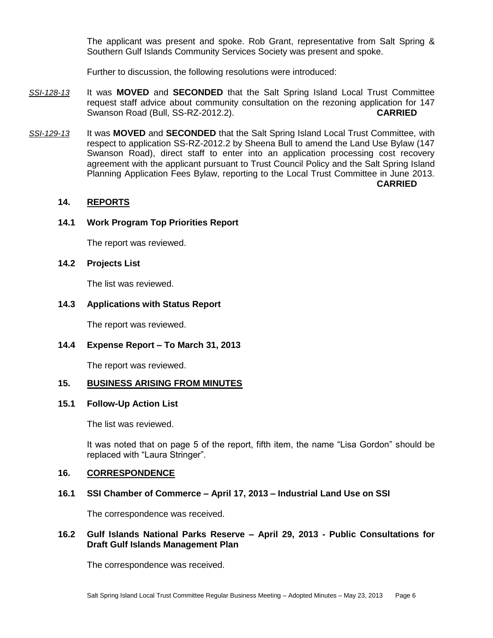The applicant was present and spoke. Rob Grant, representative from Salt Spring & Southern Gulf Islands Community Services Society was present and spoke.

Further to discussion, the following resolutions were introduced:

- *SSI-128-13* It was **MOVED** and **SECONDED** that the Salt Spring Island Local Trust Committee request staff advice about community consultation on the rezoning application for 147 Swanson Road (Bull, SS-RZ-2012.2). **CARRIED**
- *SSI-129-13* It was **MOVED** and **SECONDED** that the Salt Spring Island Local Trust Committee, with respect to application SS-RZ-2012.2 by Sheena Bull to amend the Land Use Bylaw (147 Swanson Road), direct staff to enter into an application processing cost recovery agreement with the applicant pursuant to Trust Council Policy and the Salt Spring Island Planning Application Fees Bylaw, reporting to the Local Trust Committee in June 2013. **CARRIED**

# **14. REPORTS**

## **14.1 Work Program Top Priorities Report**

The report was reviewed.

## **14.2 Projects List**

The list was reviewed.

## **14.3 Applications with Status Report**

The report was reviewed.

## **14.4 Expense Report – To March 31, 2013**

The report was reviewed.

## **15. BUSINESS ARISING FROM MINUTES**

## **15.1 Follow-Up Action List**

The list was reviewed.

It was noted that on page 5 of the report, fifth item, the name "Lisa Gordon" should be replaced with "Laura Stringer".

#### **16. CORRESPONDENCE**

## **16.1 SSI Chamber of Commerce – April 17, 2013 – Industrial Land Use on SSI**

The correspondence was received.

## **16.2 Gulf Islands National Parks Reserve – April 29, 2013 - Public Consultations for Draft Gulf Islands Management Plan**

The correspondence was received.